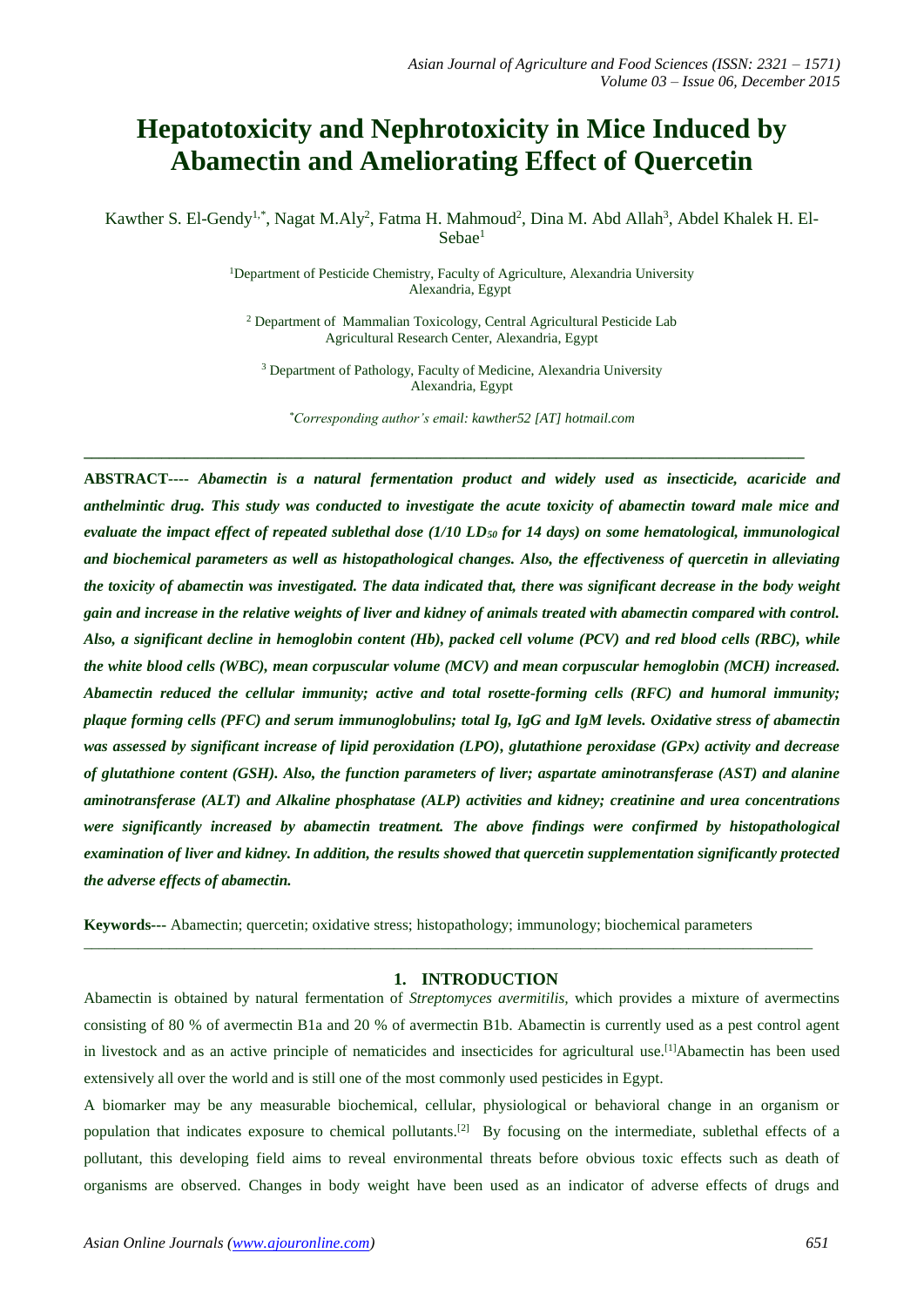# **Hepatotoxicity and Nephrotoxicity in Mice Induced by Abamectin and Ameliorating Effect of Quercetin**

Kawther S. El-Gendy<sup>1,\*</sup>, Nagat M.Aly<sup>2</sup>, Fatma H. Mahmoud<sup>2</sup>, Dina M. Abd Allah<sup>3</sup>, Abdel Khalek H. El-Sebae<sup>1</sup>

> <sup>1</sup>Department of Pesticide Chemistry, Faculty of Agriculture, Alexandria University Alexandria, Egypt

<sup>2</sup> Department of Mammalian Toxicology, Central Agricultural Pesticide Lab Agricultural Research Center, Alexandria, Egypt

<sup>3</sup> Department of Pathology, Faculty of Medicine, Alexandria University Alexandria, Egypt

*\*Corresponding author's email: kawther52 [AT] hotmail.com*

**\_\_\_\_\_\_\_\_\_\_\_\_\_\_\_\_\_\_\_\_\_\_\_\_\_\_\_\_\_\_\_\_\_\_\_\_\_\_\_\_\_\_\_\_\_\_\_\_\_\_\_\_\_\_\_\_\_\_\_\_\_\_\_\_\_\_\_\_\_\_\_\_\_\_\_\_\_\_\_\_\_\_\_\_\_\_\_\_\_\_\_\_\_**

**ABSTRACT----** *Abamectin is a natural fermentation product and widely used as insecticide, acaricide and anthelmintic drug. This study was conducted to investigate the acute toxicity of abamectin toward male mice and evaluate the impact effect of repeated sublethal dose (1/10 LD<sup>50</sup> for 14 days) on some hematological, immunological and biochemical parameters as well as histopathological changes. Also, the effectiveness of quercetin in alleviating the toxicity of abamectin was investigated. The data indicated that, there was significant decrease in the body weight gain and increase in the relative weights of liver and kidney of animals treated with abamectin compared with control. Also, a significant decline in hemoglobin content (Hb), packed cell volume (PCV) and red blood cells (RBC), while the white blood cells (WBC), mean corpuscular volume (MCV) and mean corpuscular hemoglobin (MCH) increased. Abamectin reduced the cellular immunity; active and total rosette-forming cells (RFC) and humoral immunity; plaque forming cells (PFC) and serum immunoglobulins; total Ig, IgG and IgM levels. Oxidative stress of abamectin was assessed by significant increase of lipid peroxidation (LPO), glutathione peroxidase (GPx) activity and decrease of glutathione content (GSH). Also, the function parameters of liver; aspartate aminotransferase (AST) and alanine aminotransferase (ALT) and Alkaline phosphatase (ALP) activities and kidney; creatinine and urea concentrations were significantly increased by abamectin treatment. The above findings were confirmed by histopathological examination of liver and kidney. In addition, the results showed that quercetin supplementation significantly protected the adverse effects of abamectin.* 

**Keywords---** Abamectin; quercetin; oxidative stress; histopathology; immunology; biochemical parameters

\_\_\_\_\_\_\_\_\_\_\_\_\_\_\_\_\_\_\_\_\_\_\_\_\_\_\_\_\_\_\_\_\_\_\_\_\_\_\_\_\_\_\_\_\_\_\_\_\_\_\_\_\_\_\_\_\_\_\_\_\_\_\_\_\_\_\_\_\_\_\_\_\_\_\_\_\_\_\_\_\_\_\_\_\_\_\_\_\_\_\_\_\_\_

## **1. INTRODUCTION**

Abamectin is obtained by natural fermentation of *Streptomyces avermitilis,* which provides a mixture of avermectins consisting of 80 % of avermectin B1a and 20 % of avermectin B1b. Abamectin is currently used as a pest control agent in livestock and as an active principle of nematicides and insecticides for agricultural use.<sup>[1]</sup>Abamectin has been used extensively all over the world and is still one of the most commonly used pesticides in Egypt.

A biomarker may be any measurable biochemical, cellular, physiological or behavioral change in an organism or population that indicates exposure to chemical pollutants.<sup>[2]</sup> By focusing on the intermediate, sublethal effects of a pollutant, this developing field aims to reveal environmental threats before obvious toxic effects such as death of organisms are observed. Changes in body weight have been used as an indicator of adverse effects of drugs and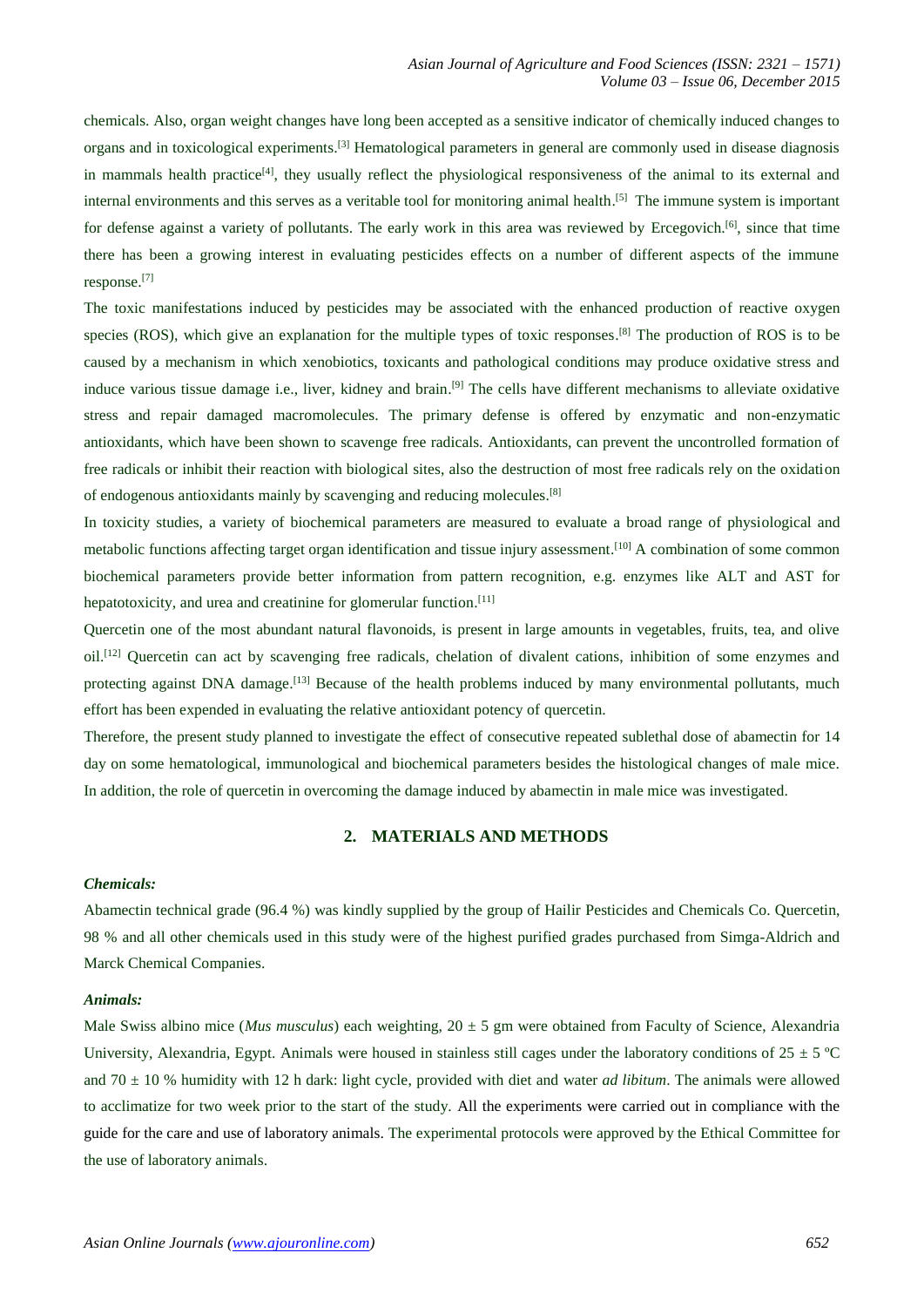chemicals. Also, organ weight changes have long been accepted as a sensitive indicator of chemically induced changes to organs and in toxicological experiments.<sup>[3]</sup> Hematological parameters in general are commonly used in disease diagnosis in mammals health practice<sup>[4]</sup>, they usually reflect the physiological responsiveness of the animal to its external and internal environments and this serves as a veritable tool for monitoring animal health. [5] The immune system is important for defense against a variety of pollutants. The early work in this area was reviewed by Ercegovich.<sup>[6]</sup>, since that time there has been a growing interest in evaluating pesticides effects on a number of different aspects of the immune response. [7]

The toxic manifestations induced by pesticides may be associated with the enhanced production of reactive oxygen species (ROS), which give an explanation for the multiple types of toxic responses.<sup>[8]</sup> The production of ROS is to be caused by a mechanism in which xenobiotics, toxicants and pathological conditions may produce oxidative stress and induce various tissue damage i.e., liver, kidney and brain.<sup>[9]</sup> The cells have different mechanisms to alleviate oxidative stress and repair damaged macromolecules. The primary defense is offered by enzymatic and non-enzymatic antioxidants, which have been shown to scavenge free radicals. Antioxidants, can prevent the uncontrolled formation of free radicals or inhibit their reaction with biological sites, also the destruction of most free radicals rely on the oxidation of endogenous antioxidants mainly by scavenging and reducing molecules. [8]

In toxicity studies, a variety of biochemical parameters are measured to evaluate a broad range of physiological and metabolic functions affecting target organ identification and tissue injury assessment.<sup>[10]</sup> A combination of some common biochemical parameters provide better information from pattern recognition, e.g. enzymes like ALT and AST for hepatotoxicity, and urea and creatinine for glomerular function.<sup>[11]</sup>

Quercetin one of the most abundant natural flavonoids, is present in large amounts in vegetables, fruits, tea, and olive oil. [12] Quercetin can act by scavenging free radicals, chelation of divalent cations, inhibition of some enzymes and protecting against DNA damage.<sup>[13]</sup> Because of the health problems induced by many environmental pollutants, much effort has been expended in evaluating the relative antioxidant potency of quercetin.

Therefore, the present study planned to investigate the effect of consecutive repeated sublethal dose of abamectin for 14 day on some hematological, immunological and biochemical parameters besides the histological changes of male mice. In addition, the role of quercetin in overcoming the damage induced by abamectin in male mice was investigated.

## **2. MATERIALS AND METHODS**

#### *Chemicals:*

Abamectin technical grade (96.4 %) was kindly supplied by the group of Hailir Pesticides and Chemicals Co. Quercetin, 98 % and all other chemicals used in this study were of the highest purified grades purchased from Simga-Aldrich and Marck Chemical Companies.

#### *Animals:*

Male Swiss albino mice (*Mus musculus*) each weighting, 20 ± 5 gm were obtained from Faculty of Science, Alexandria University, Alexandria, Egypt. Animals were housed in stainless still cages under the laboratory conditions of  $25 \pm 5$  °C and 70 ± 10 % humidity with 12 h dark: light cycle, provided with diet and water *ad libitum*. The animals were allowed to acclimatize for two week prior to the start of the study. All the experiments were carried out in compliance with the guide for the care and use of laboratory animals. The experimental protocols were approved by the Ethical Committee for the use of laboratory animals.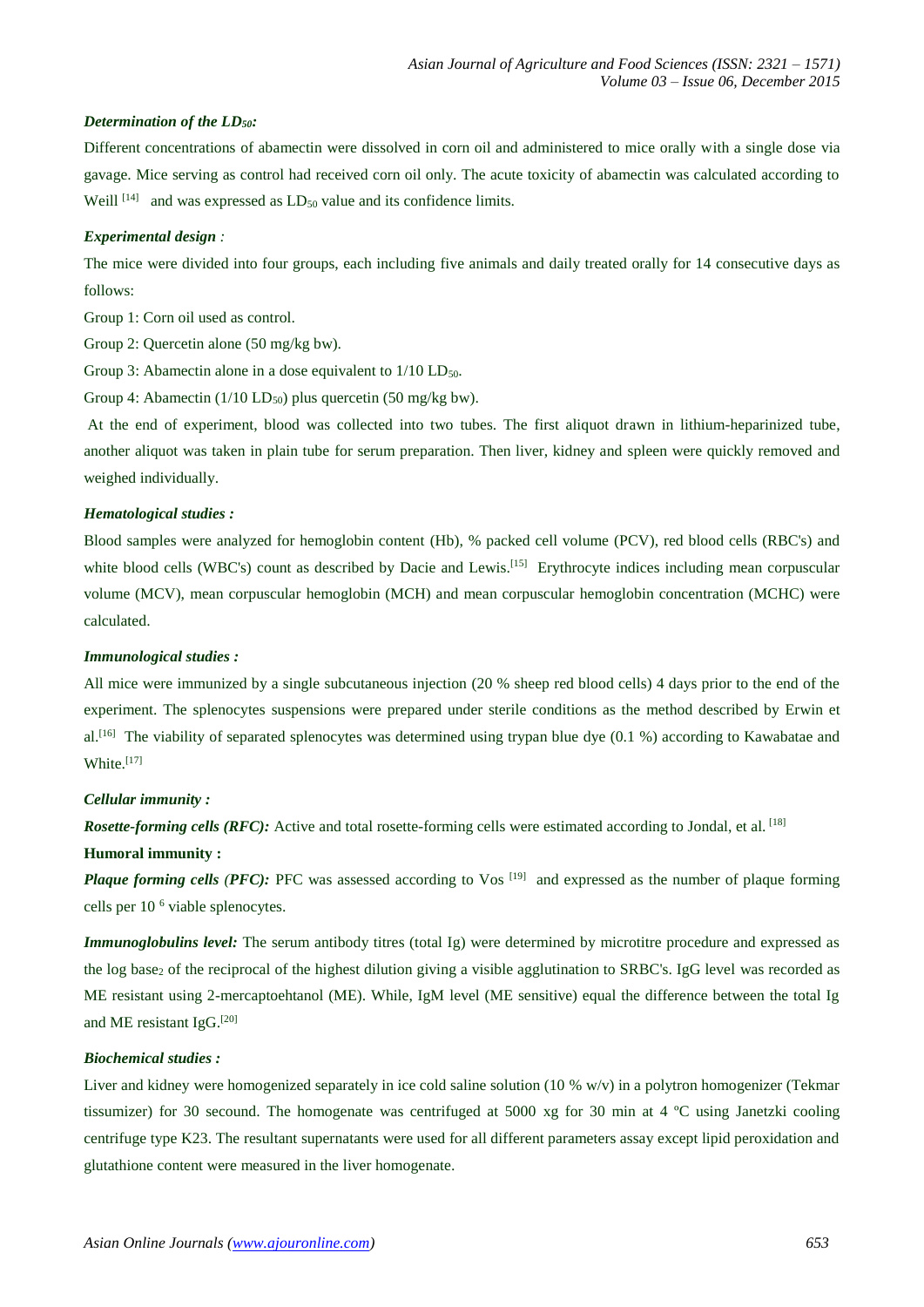## *Determination of the LD50:*

Different concentrations of abamectin were dissolved in corn oil and administered to mice orally with a single dose via gavage. Mice serving as control had received corn oil only. The acute toxicity of abamectin was calculated according to Weill  $^{[14]}$  and was expressed as  $LD_{50}$  value and its confidence limits.

## *Experimental design :*

The mice were divided into four groups, each including five animals and daily treated orally for 14 consecutive days as follows:

Group 1: Corn oil used as control.

Group 2: Quercetin alone (50 mg/kg bw).

Group 3: Abamectin alone in a dose equivalent to  $1/10$  LD<sub>50</sub>.

Group 4: Abamectin ( $1/10$  LD<sub>50</sub>) plus quercetin (50 mg/kg bw).

At the end of experiment, blood was collected into two tubes. The first aliquot drawn in lithium-heparinized tube, another aliquot was taken in plain tube for serum preparation. Then liver, kidney and spleen were quickly removed and weighed individually.

## *Hematological studies :*

Blood samples were analyzed for hemoglobin content (Hb), % packed cell volume (PCV), red blood cells (RBC's) and white blood cells (WBC's) count as described by Dacie and Lewis.<sup>[15]</sup> Erythrocyte indices including mean corpuscular volume (MCV), mean corpuscular hemoglobin (MCH) and mean corpuscular hemoglobin concentration (MCHC) were calculated.

#### *Immunological studies :*

All mice were immunized by a single subcutaneous injection (20 % sheep red blood cells) 4 days prior to the end of the experiment. The splenocytes suspensions were prepared under sterile conditions as the method described by Erwin et al.<sup>[16]</sup> The viability of separated splenocytes was determined using trypan blue dye  $(0.1 \%)$  according to Kawabatae and White. [17]

## *Cellular immunity :*

*Rosette-forming cells (RFC):* Active and total rosette-forming cells were estimated according to Jondal, et al. [18]

#### **Humoral immunity :**

*Plaque forming cells (PFC):* PFC was assessed according to Vos<sup>[19]</sup> and expressed as the number of plaque forming cells per 10 <sup>6</sup> viable splenocytes.

*Immunoglobulins level:* The serum antibody titres (total Ig) were determined by microtitre procedure and expressed as the log base<sub>2</sub> of the reciprocal of the highest dilution giving a visible agglutination to SRBC's. IgG level was recorded as ME resistant using 2-mercaptoehtanol (ME). While, IgM level (ME sensitive) equal the difference between the total Ig and ME resistant IgG. [20]

## *Biochemical studies :*

Liver and kidney were homogenized separately in ice cold saline solution (10 % w/v) in a polytron homogenizer (Tekmar tissumizer) for 30 secound. The homogenate was centrifuged at 5000 xg for 30 min at 4 ºC using Janetzki cooling centrifuge type K23. The resultant supernatants were used for all different parameters assay except lipid peroxidation and glutathione content were measured in the liver homogenate.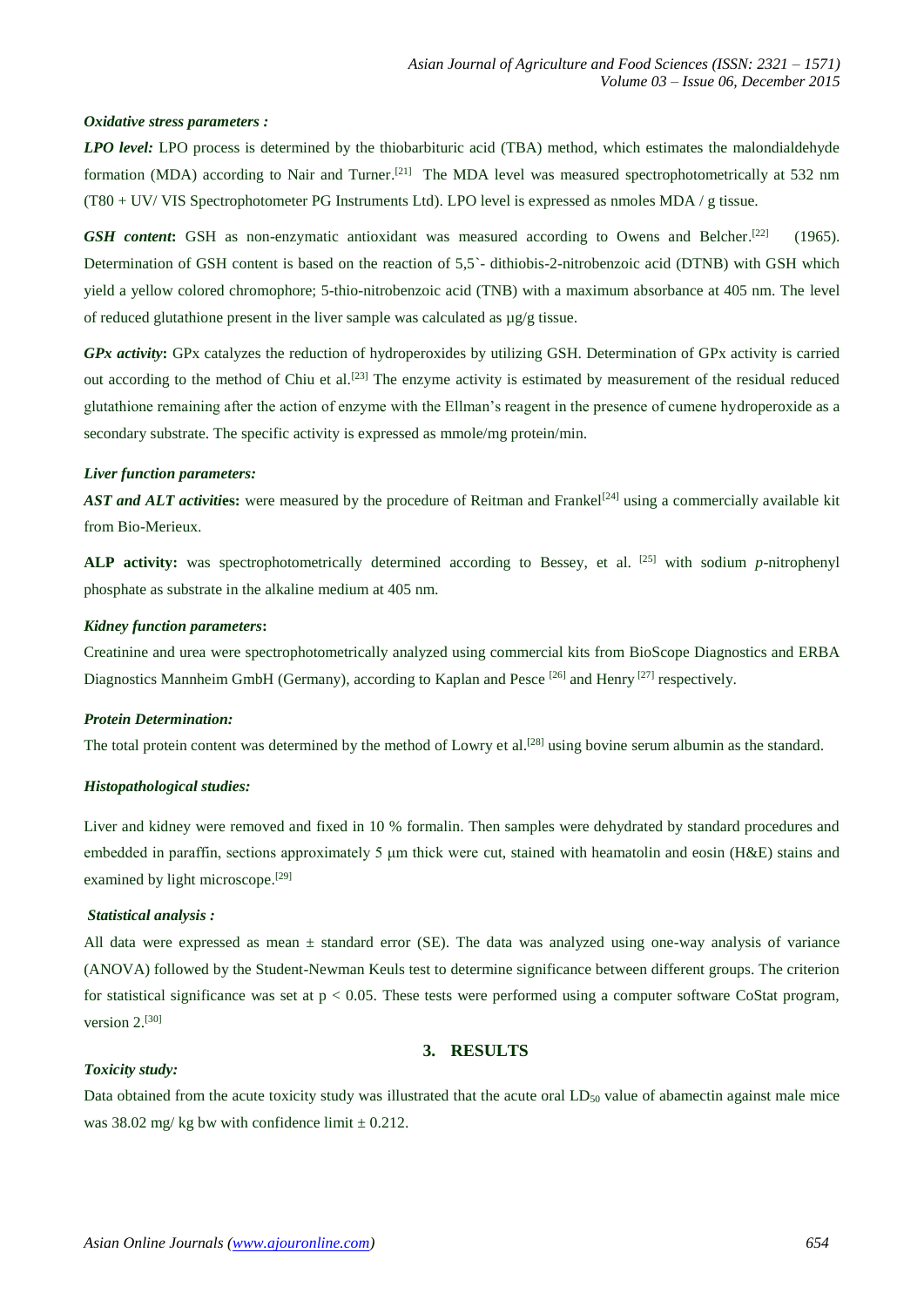## *Oxidative stress parameters :*

*LPO level:* LPO process is determined by the thiobarbituric acid (TBA) method, which estimates the malondialdehyde formation (MDA) according to Nair and Turner.<sup>[21]</sup> The MDA level was measured spectrophotometrically at 532 nm (T80 + UV/ VIS Spectrophotometer PG Instruments Ltd). LPO level is expressed as nmoles MDA / g tissue.

**GSH content:** GSH as non-enzymatic antioxidant was measured according to Owens and Belcher.<sup>[22]</sup> (1965). Determination of GSH content is based on the reaction of 5,5`- dithiobis-2-nitrobenzoic acid (DTNB) with GSH which yield a yellow colored chromophore; 5-thio-nitrobenzoic acid (TNB) with a maximum absorbance at 405 nm. The level of reduced glutathione present in the liver sample was calculated as  $\mu$ g/g tissue.

*GPx activity***:** GPx catalyzes the reduction of hydroperoxides by utilizing GSH. Determination of GPx activity is carried out according to the method of Chiu et al.<sup>[23]</sup> The enzyme activity is estimated by measurement of the residual reduced glutathione remaining after the action of enzyme with the Ellman's reagent in the presence of cumene hydroperoxide as a secondary substrate. The specific activity is expressed as mmole/mg protein/min.

#### *Liver function parameters:*

*AST and ALT activities:* were measured by the procedure of Reitman and Frankel<sup>[24]</sup> using a commercially available kit from Bio-Merieux.

**ALP activity:** was spectrophotometrically determined according to Bessey, et al. [25] with sodium *p*-nitrophenyl phosphate as substrate in the alkaline medium at 405 nm.

#### *Kidney function parameters***:**

Creatinine and urea were spectrophotometrically analyzed using commercial kits from BioScope Diagnostics and ERBA Diagnostics Mannheim GmbH (Germany), according to Kaplan and Pesce <sup>[26]</sup> and Henry <sup>[27]</sup> respectively.

## *Protein Determination:*

The total protein content was determined by the method of Lowry et al.<sup>[28]</sup> using bovine serum albumin as the standard.

## *Histopathological studies:*

Liver and kidney were removed and fixed in 10 % formalin. Then samples were dehydrated by standard procedures and embedded in paraffin, sections approximately 5 μm thick were cut, stained with heamatolin and eosin (H&E) stains and examined by light microscope.<sup>[29]</sup>

#### *Statistical analysis :*

All data were expressed as mean  $\pm$  standard error (SE). The data was analyzed using one-way analysis of variance (ANOVA) followed by the Student-Newman Keuls test to determine significance between different groups. The criterion for statistical significance was set at  $p < 0.05$ . These tests were performed using a computer software CoStat program, version 2.<sup>[30]</sup>

# **3. RESULTS**

## *Toxicity study:*

Data obtained from the acute toxicity study was illustrated that the acute oral  $LD_{50}$  value of abamectin against male mice was 38.02 mg/ kg bw with confidence limit  $\pm$  0.212.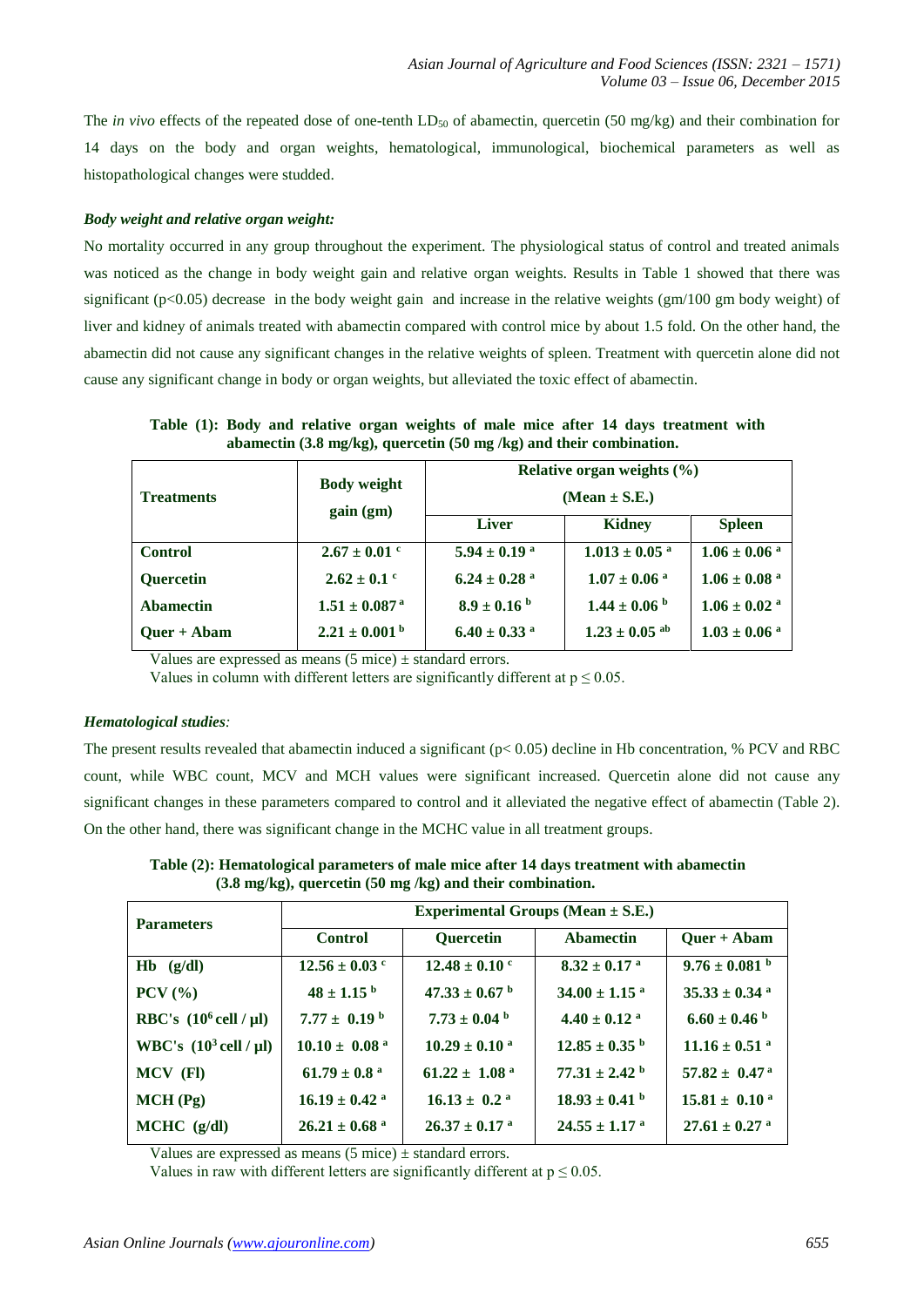The *in vivo* effects of the repeated dose of one-tenth LD<sub>50</sub> of abamectin, quercetin (50 mg/kg) and their combination for 14 days on the body and organ weights, hematological, immunological, biochemical parameters as well as histopathological changes were studded.

# *Body weight and relative organ weight:*

No mortality occurred in any group throughout the experiment. The physiological status of control and treated animals was noticed as the change in body weight gain and relative organ weights. Results in Table 1 showed that there was significant ( $p<0.05$ ) decrease in the body weight gain and increase in the relative weights ( $gm/100$  gm body weight) of liver and kidney of animals treated with abamectin compared with control mice by about 1.5 fold. On the other hand, the abamectin did not cause any significant changes in the relative weights of spleen. Treatment with quercetin alone did not cause any significant change in body or organ weights, but alleviated the toxic effect of abamectin.

**Table (1): Body and relative organ weights of male mice after 14 days treatment with abamectin (3.8 mg/kg), quercetin (50 mg /kg) and their combination. Relative organ weights (%)**

| <b>Treatments</b> | <b>Body weight</b><br>gain (gm) | Relative organ weights $(\% )$<br>$(Mean \pm S.E.)$ |                               |                              |
|-------------------|---------------------------------|-----------------------------------------------------|-------------------------------|------------------------------|
|                   |                                 | <b>Liver</b>                                        | Kidney                        | <b>Spleen</b>                |
| <b>Control</b>    | $2.67 \pm 0.01$ °               | $5.94 \pm 0.19$ <sup>a</sup>                        | $1.013 \pm 0.05$ <sup>a</sup> | $1.06 \pm 0.06$ <sup>a</sup> |
| <b>Quercetin</b>  | $2.62 \pm 0.1$ °                | $6.24 \pm 0.28$ <sup>a</sup>                        | $1.07 \pm 0.06$ <sup>a</sup>  | $1.06 \pm 0.08$ <sup>a</sup> |
| <b>Abamectin</b>  | $1.51 \pm 0.087$ <sup>a</sup>   | $8.9 \pm 0.16^{\text{ b}}$                          | $1.44 \pm 0.06$ b             | $1.06 \pm 0.02$ <sup>a</sup> |
| $Quer + Abam$     | $2.21 \pm 0.001^{\mathrm{b}}$   | $6.40 \pm 0.33$ <sup>a</sup>                        | $1.23 \pm 0.05$ ab            | $1.03 \pm 0.06$ <sup>a</sup> |

Values are expressed as means  $(5 \text{ mice}) \pm \text{standard errors}.$ 

Values in column with different letters are significantly different at  $p \le 0.05$ .

## *Hematological studies:*

The present results revealed that abamectin induced a significant (p< 0.05) decline in Hb concentration, % PCV and RBC count, while WBC count, MCV and MCH values were significant increased. Quercetin alone did not cause any significant changes in these parameters compared to control and it alleviated the negative effect of abamectin (Table 2). On the other hand, there was significant change in the MCHC value in all treatment groups.

**Table (2): Hematological parameters of male mice after 14 days treatment with abamectin (3.8 mg/kg), quercetin (50 mg /kg) and their combination.**

| <b>Parameters</b>                         | Experimental Groups (Mean $\pm$ S.E.) |                               |                               |                               |  |
|-------------------------------------------|---------------------------------------|-------------------------------|-------------------------------|-------------------------------|--|
|                                           | <b>Control</b>                        | <b>Ouercetin</b>              | <b>Abamectin</b>              | $Quer + Abam$                 |  |
| $Hb$ (g/dl)                               | $12.56 \pm 0.03$ c                    | $12.48 \pm 0.10$ °            | $8.32 \pm 0.17$ <sup>a</sup>  | $9.76 \pm 0.081$ b            |  |
| $PCV$ $(\%)$                              | $48 \pm 1.15^{b}$                     | $47.33 \pm 0.67$ b            | $34.00 \pm 1.15$ <sup>a</sup> | $35.33 \pm 0.34$ <sup>a</sup> |  |
| RBC's $(10^6 \text{ cell } / \text{ µl})$ | 7.77 $\pm$ 0.19 <sup>b</sup>          | $7.73 \pm 0.04$ b             | $4.40 \pm 0.12$ <sup>a</sup>  | $6.60 \pm 0.46$ b             |  |
| WBC's $(10^3 \text{ cell } / \text{ µl})$ | $10.10 \pm 0.08$ <sup>a</sup>         | $10.29 \pm 0.10^{\text{ a}}$  | $12.85 \pm 0.35$ <sup>b</sup> | $11.16 \pm 0.51$ <sup>a</sup> |  |
| MCV (FI)                                  | $61.79 \pm 0.8$ <sup>a</sup>          | $61.22 \pm 1.08$ <sup>a</sup> | $77.31 \pm 2.42$ <sup>b</sup> | $57.82 \pm 0.47^{\text{ a}}$  |  |
| MCH(Pg)                                   | $16.19 \pm 0.42$ <sup>a</sup>         | $16.13 \pm 0.2$ <sup>a</sup>  | $18.93 \pm 0.41$ b            | $15.81 \pm 0.10^{\text{ a}}$  |  |
| $MCHC$ (g/dl)                             | $26.21 \pm 0.68$ <sup>a</sup>         | $26.37 \pm 0.17$ <sup>a</sup> | $24.55 \pm 1.17$ <sup>a</sup> | $27.61 \pm 0.27$ <sup>a</sup> |  |

Values are expressed as means  $(5 \text{ mice}) \pm$  standard errors.

Values in raw with different letters are significantly different at  $p \le 0.05$ .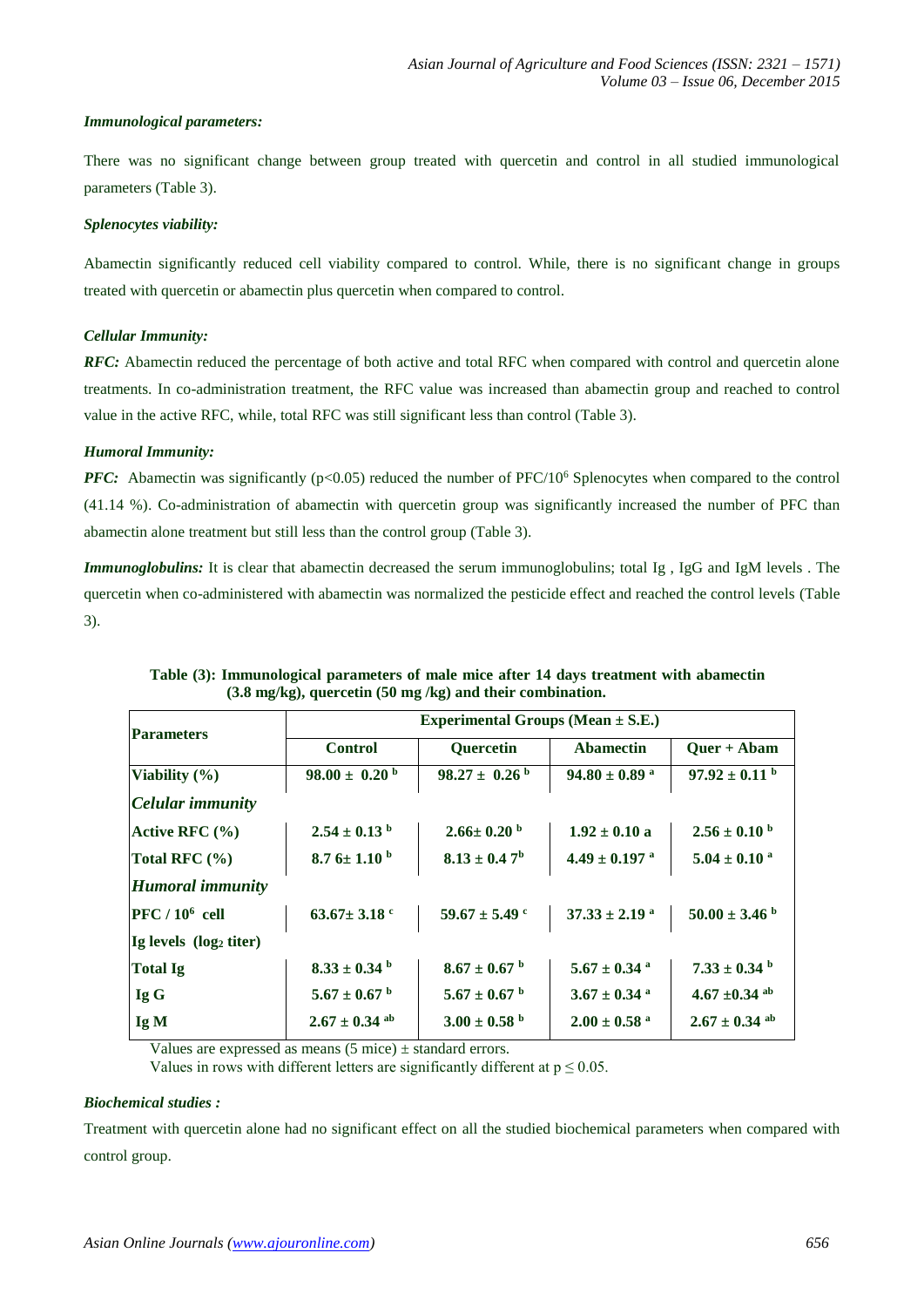# *Immunological parameters:*

There was no significant change between group treated with quercetin and control in all studied immunological parameters (Table 3).

# *Splenocytes viability:*

Abamectin significantly reduced cell viability compared to control. While, there is no significant change in groups treated with quercetin or abamectin plus quercetin when compared to control.

# *Cellular Immunity:*

*RFC:* Abamectin reduced the percentage of both active and total RFC when compared with control and quercetin alone treatments. In co-administration treatment, the RFC value was increased than abamectin group and reached to control value in the active RFC, while, total RFC was still significant less than control (Table 3).

# *Humoral Immunity:*

*PFC:* Abamectin was significantly (p<0.05) reduced the number of PFC/10<sup>6</sup> Splenocytes when compared to the control (41.14 %). Co-administration of abamectin with quercetin group was significantly increased the number of PFC than abamectin alone treatment but still less than the control group (Table 3).

*Immunoglobulins:* It is clear that abamectin decreased the serum immunoglobulins; total Ig , IgG and IgM levels . The quercetin when co-administered with abamectin was normalized the pesticide effect and reached the control levels (Table 3).

| <b>Parameters</b>                  | Experimental Groups (Mean $\pm$ S.E.) |                               |                               |                              |  |
|------------------------------------|---------------------------------------|-------------------------------|-------------------------------|------------------------------|--|
|                                    | <b>Control</b>                        | <b>Ouercetin</b>              | <b>Abamectin</b>              | $Ouer + Abam$                |  |
| Viability (%)                      | $98.00 \pm 0.20^{\mathrm{b}}$         | $98.27 \pm 0.26^{\mathrm{b}}$ | $94.80 \pm 0.89$ <sup>a</sup> | $97.92 \pm 0.11$ b           |  |
| Celular immunity                   |                                       |                               |                               |                              |  |
| Active RFC (%)                     | $2.54 \pm 0.13$ b                     | $2.66 \pm 0.20$ b             | $1.92 \pm 0.10$ a             | $2.56 \pm 0.10^{\circ}$      |  |
| Total RFC $(\% )$                  | 8.7 $6 \pm 1.10^{\circ}$              | $8.13 \pm 0.47^{\rm b}$       | $4.49 \pm 0.197$ <sup>a</sup> | $5.04 \pm 0.10$ <sup>a</sup> |  |
| <b>Humoral immunity</b>            |                                       |                               |                               |                              |  |
| $PFC / 10^6$ cell                  | $63.67 \pm 3.18$ °                    | $59.67 \pm 5.49$ c            | $37.33 \pm 2.19$ <sup>a</sup> | $50.00 \pm 3.46$ b           |  |
| Ig levels (log <sub>2</sub> titer) |                                       |                               |                               |                              |  |
| Total Ig                           | $8.33 \pm 0.34$ b                     | $8.67 \pm 0.67$ b             | $5.67 \pm 0.34$ <sup>a</sup>  | $7.33 \pm 0.34$ b            |  |
| Ig G                               | $5.67 \pm 0.67$ b                     | $5.67 \pm 0.67$ b             | $3.67 \pm 0.34$ <sup>a</sup>  | 4.67 $\pm$ 0.34 ab           |  |
| Ig M                               | $2.67 \pm 0.34$ ab                    | $3.00 \pm 0.58$ b             | $2.00 \pm 0.58$ <sup>a</sup>  | $2.67 \pm 0.34$ ab           |  |

**Table (3): Immunological parameters of male mice after 14 days treatment with abamectin (3.8 mg/kg), quercetin (50 mg /kg) and their combination.**

Values are expressed as means  $(5 \text{ mice}) \pm \text{standard errors}.$ 

Values in rows with different letters are significantly different at  $p \le 0.05$ .

# *Biochemical studies :*

Treatment with quercetin alone had no significant effect on all the studied biochemical parameters when compared with control group.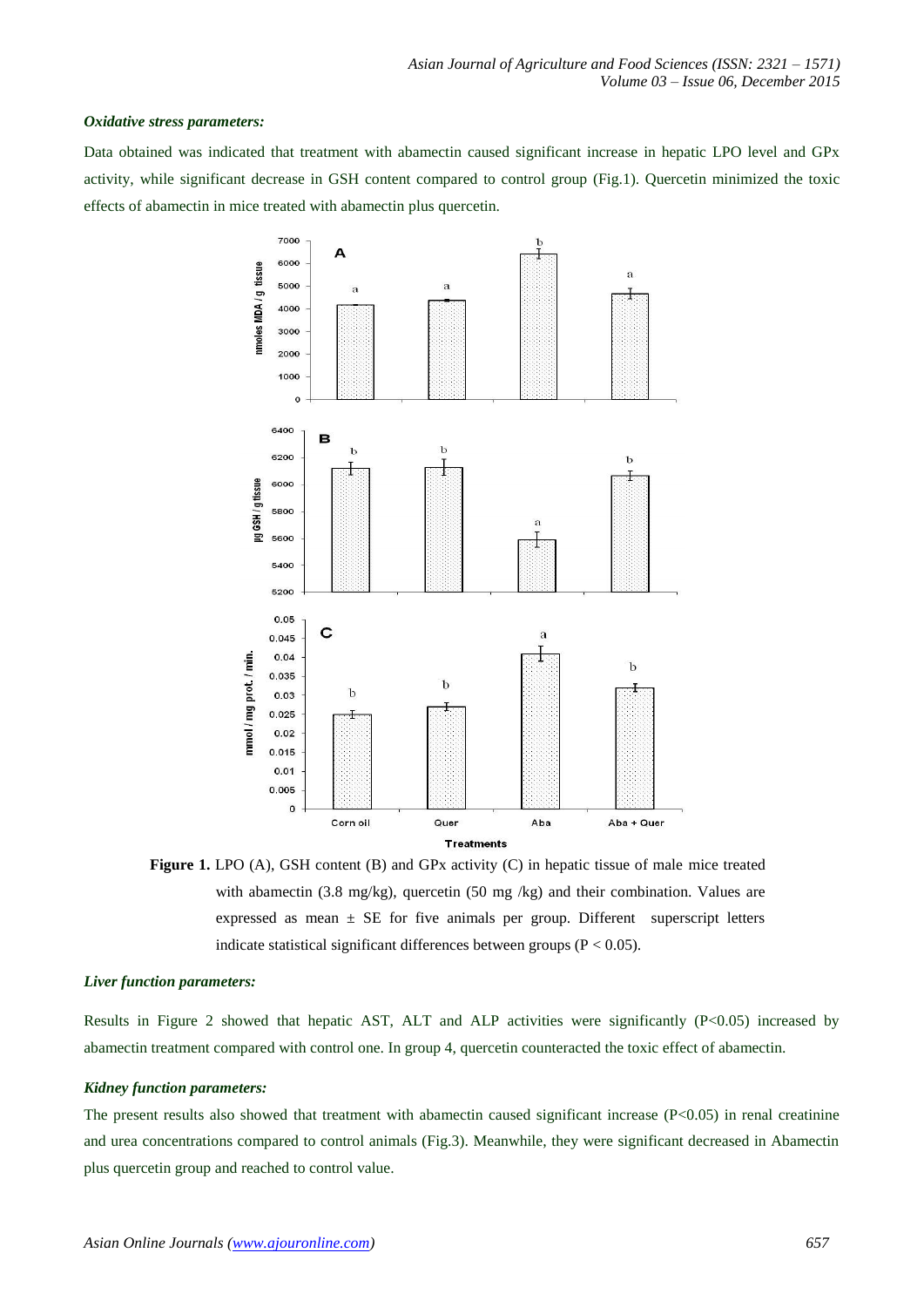## *Oxidative stress parameters:*

Data obtained was indicated that treatment with abamectin caused significant increase in hepatic LPO level and GPx activity, while significant decrease in GSH content compared to control group (Fig.1). Quercetin minimized the toxic effects of abamectin in mice treated with abamectin plus quercetin.



**Figure 1.** LPO (A), GSH content (B) and GPx activity (C) in hepatic tissue of male mice treated with abamectin (3.8 mg/kg), quercetin (50 mg/kg) and their combination. Values are expressed as mean  $\pm$  SE for five animals per group. Different superscript letters indicate statistical significant differences between groups ( $P < 0.05$ ).

## *Liver function parameters:*

Results in Figure 2 showed that hepatic AST, ALT and ALP activities were significantly (P<0.05) increased by abamectin treatment compared with control one. In group 4, quercetin counteracted the toxic effect of abamectin.

## *Kidney function parameters:*

The present results also showed that treatment with abamectin caused significant increase ( $P<0.05$ ) in renal creatinine and urea concentrations compared to control animals (Fig.3). Meanwhile, they were significant decreased in Abamectin plus quercetin group and reached to control value.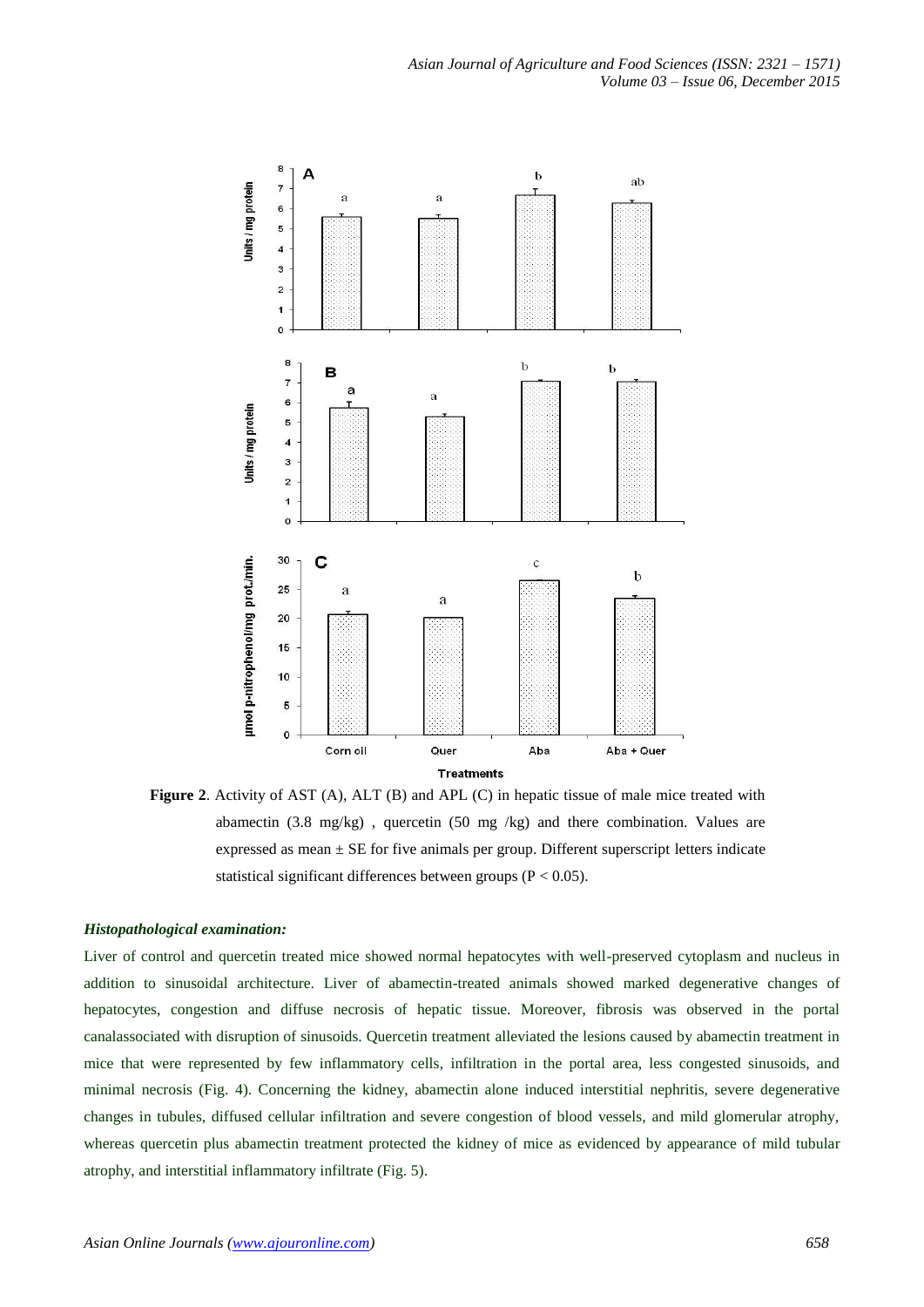

**Figure 2.** Activity of AST (A), ALT (B) and APL (C) in hepatic tissue of male mice treated with abamectin (3.8 mg/kg) , quercetin (50 mg /kg) and there combination. Values are expressed as mean  $\pm$  SE for five animals per group. Different superscript letters indicate statistical significant differences between groups ( $P < 0.05$ ).

# *Histopathological examination:*

Liver of control and quercetin treated mice showed normal hepatocytes with well-preserved cytoplasm and nucleus in addition to sinusoidal architecture. Liver of abamectin-treated animals showed marked degenerative changes of hepatocytes, congestion and diffuse necrosis of hepatic tissue. Moreover, fibrosis was observed in the portal canalassociated with disruption of sinusoids. Quercetin treatment alleviated the lesions caused by abamectin treatment in mice that were represented by few inflammatory cells, infiltration in the portal area, less congested sinusoids, and minimal necrosis (Fig. 4). Concerning the kidney, abamectin alone induced interstitial nephritis, severe degenerative changes in tubules, diffused cellular infiltration and severe congestion of blood vessels, and mild glomerular atrophy, whereas quercetin plus abamectin treatment protected the kidney of mice as evidenced by appearance of mild tubular atrophy, and interstitial inflammatory infiltrate (Fig. 5).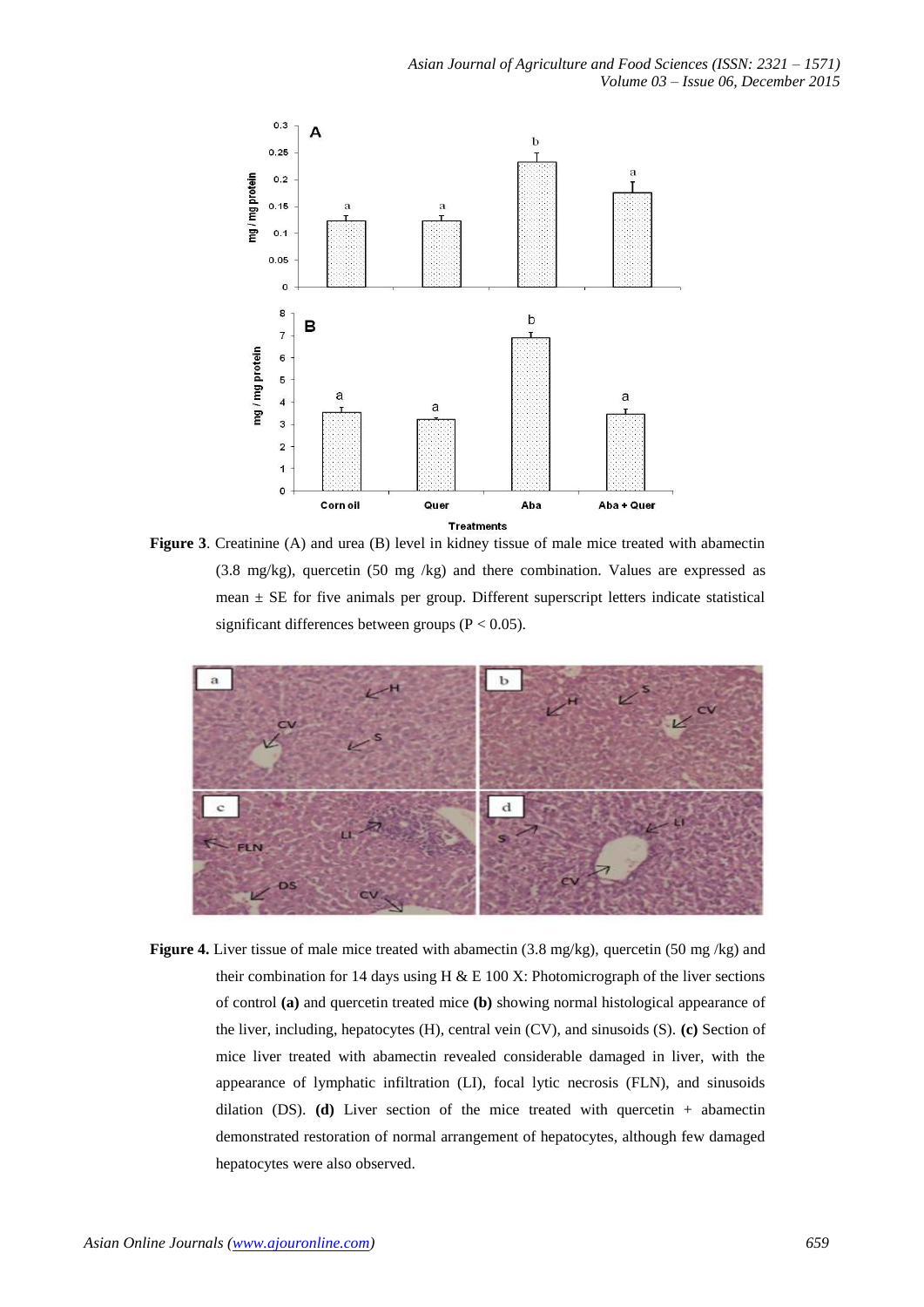

**Figure 3**. Creatinine (A) and urea (B) level in kidney tissue of male mice treated with abamectin (3.8 mg/kg), quercetin (50 mg /kg) and there combination. Values are expressed as mean  $\pm$  SE for five animals per group. Different superscript letters indicate statistical significant differences between groups ( $P < 0.05$ ).



**Figure 4.** Liver tissue of male mice treated with abamectin (3.8 mg/kg), quercetin (50 mg/kg) and their combination for 14 days using H  $\&$  E 100 X: Photomicrograph of the liver sections of control **(a)** and quercetin treated mice **(b)** showing normal histological appearance of the liver, including, hepatocytes (H), central vein (CV), and sinusoids (S). **(c)** Section of mice liver treated with abamectin revealed considerable damaged in liver, with the appearance of lymphatic infiltration (LI), focal lytic necrosis (FLN), and sinusoids dilation (DS). **(d)** Liver section of the mice treated with quercetin + abamectin demonstrated restoration of normal arrangement of hepatocytes, although few damaged hepatocytes were also observed.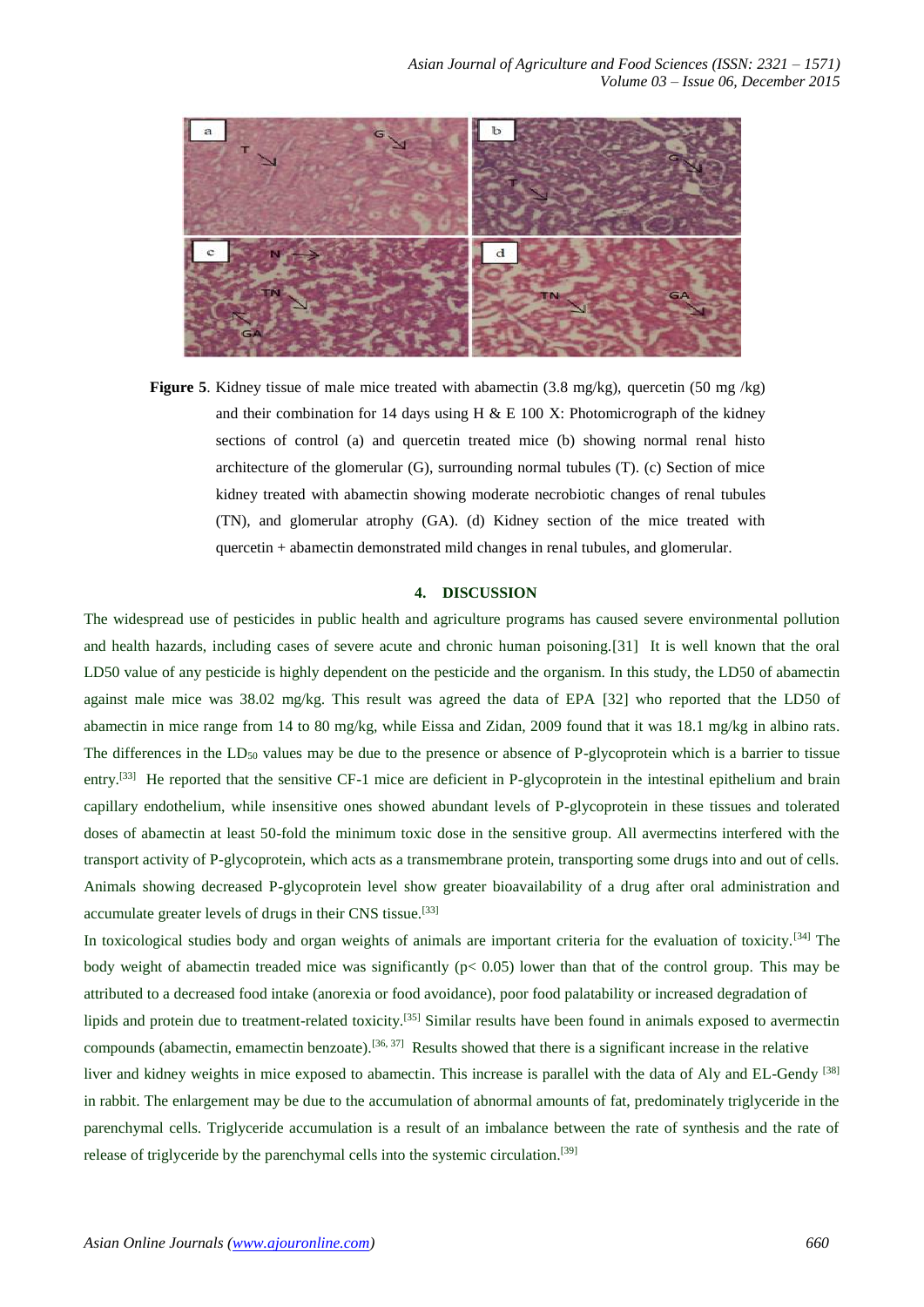

**Figure 5**. Kidney tissue of male mice treated with abamectin (3.8 mg/kg), quercetin (50 mg /kg) and their combination for 14 days using H  $\&$  E 100 X: Photomicrograph of the kidney sections of control (a) and quercetin treated mice (b) showing normal renal histo architecture of the glomerular (G), surrounding normal tubules (T). (c) Section of mice kidney treated with abamectin showing moderate necrobiotic changes of renal tubules (TN), and glomerular atrophy (GA). (d) Kidney section of the mice treated with quercetin + abamectin demonstrated mild changes in renal tubules, and glomerular.

## **4. DISCUSSION**

The widespread use of pesticides in public health and agriculture programs has caused severe environmental pollution and health hazards, including cases of severe acute and chronic human poisoning.[31] It is well known that the oral LD50 value of any pesticide is highly dependent on the pesticide and the organism. In this study, the LD50 of abamectin against male mice was 38.02 mg/kg. This result was agreed the data of EPA [32] who reported that the LD50 of abamectin in mice range from 14 to 80 mg/kg, while Eissa and Zidan, 2009 found that it was 18.1 mg/kg in albino rats. The differences in the  $LD_{50}$  values may be due to the presence or absence of P-glycoprotein which is a barrier to tissue entry.<sup>[33]</sup> He reported that the sensitive CF-1 mice are deficient in P-glycoprotein in the intestinal epithelium and brain capillary endothelium, while insensitive ones showed abundant levels of P-glycoprotein in these tissues and tolerated doses of abamectin at least 50-fold the minimum toxic dose in the sensitive group. All avermectins interfered with the transport activity of P-glycoprotein, which acts as a transmembrane protein, transporting some drugs into and out of cells. Animals showing decreased P-glycoprotein level show greater bioavailability of a drug after oral administration and accumulate greater levels of drugs in their CNS tissue.[33]

In toxicological studies body and organ weights of animals are important criteria for the evaluation of toxicity.<sup>[34]</sup> The body weight of abamectin treaded mice was significantly ( $p < 0.05$ ) lower than that of the control group. This may be attributed to a decreased food intake (anorexia or food avoidance), poor food palatability or increased degradation of lipids and protein due to treatment-related toxicity.[35] Similar results have been found in animals exposed to avermectin compounds (abamectin, emamectin benzoate).<sup>[36, 37]</sup> Results showed that there is a significant increase in the relative liver and kidney weights in mice exposed to abamectin. This increase is parallel with the data of Aly and EL-Gendy [38] in rabbit. The enlargement may be due to the accumulation of abnormal amounts of fat, predominately triglyceride in the parenchymal cells. Triglyceride accumulation is a result of an imbalance between the rate of synthesis and the rate of release of triglyceride by the parenchymal cells into the systemic circulation.<sup>[39]</sup>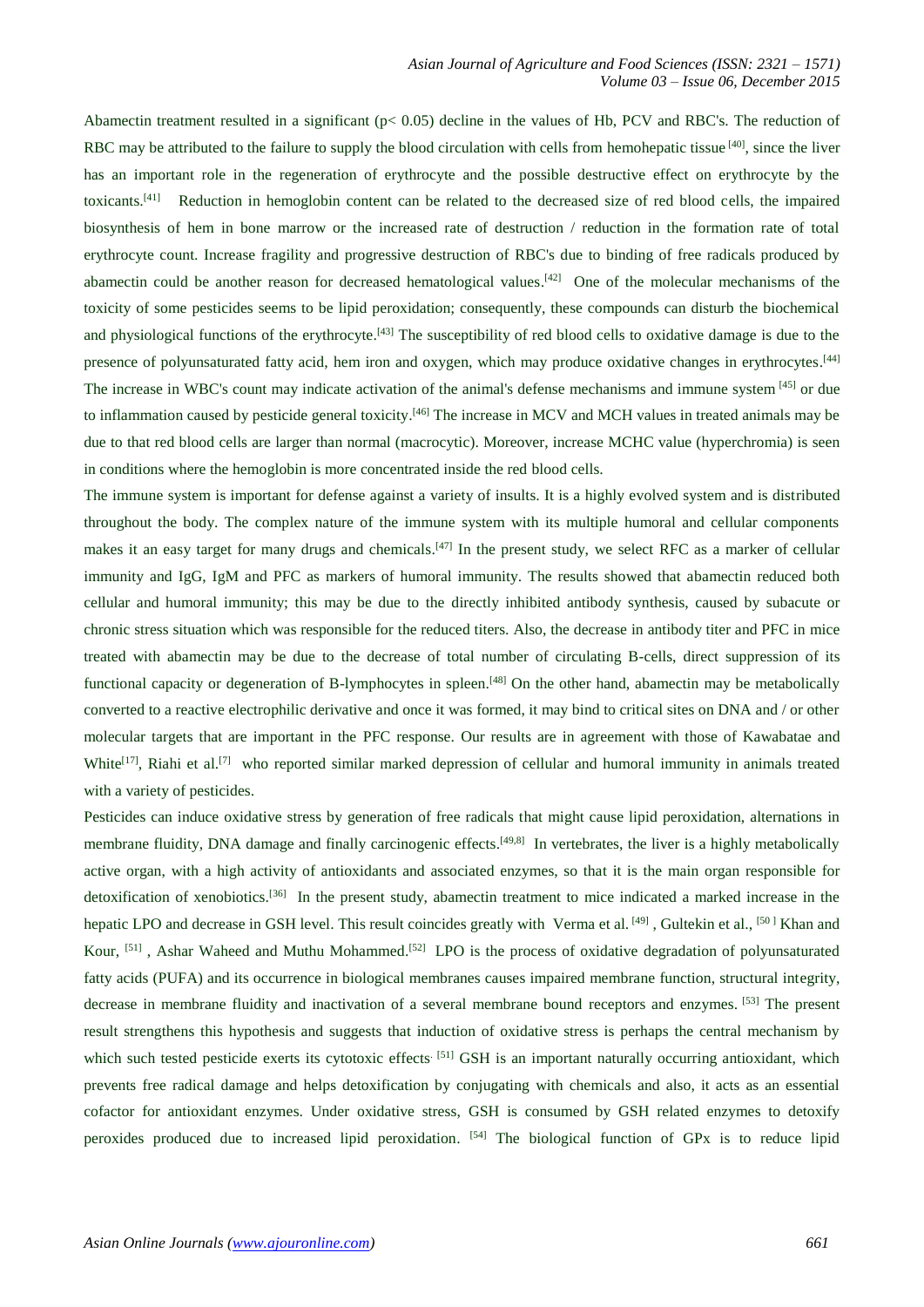Abamectin treatment resulted in a significant (p< 0.05) decline in the values of Hb, PCV and RBC's. The reduction of RBC may be attributed to the failure to supply the blood circulation with cells from hemohepatic tissue  $[40]$ , since the liver has an important role in the regeneration of erythrocyte and the possible destructive effect on erythrocyte by the toxicants.<sup>[41]</sup> Reduction in hemoglobin content can be related to the decreased size of red blood cells, the impaired biosynthesis of hem in bone marrow or the increased rate of destruction / reduction in the formation rate of total erythrocyte count. Increase fragility and progressive destruction of RBC's due to binding of free radicals produced by abamectin could be another reason for decreased hematological values.<sup>[42]</sup> One of the molecular mechanisms of the toxicity of some pesticides seems to be lipid peroxidation; consequently, these compounds can disturb the biochemical and physiological functions of the erythrocyte.<sup>[43]</sup> The susceptibility of red blood cells to oxidative damage is due to the presence of polyunsaturated fatty acid, hem iron and oxygen, which may produce oxidative changes in erythrocytes.<sup>[44]</sup> The increase in WBC's count may indicate activation of the animal's defense mechanisms and immune system [45] or due to inflammation caused by pesticide general toxicity.<sup>[46]</sup> The increase in MCV and MCH values in treated animals may be due to that red blood cells are larger than normal (macrocytic). Moreover, increase MCHC value (hyperchromia) is seen in conditions where the hemoglobin is more concentrated inside the red blood cells.

The immune system is important for defense against a variety of insults. It is a highly evolved system and is distributed throughout the body. The complex nature of the immune system with its multiple humoral and cellular components makes it an easy target for many drugs and chemicals.<sup>[47]</sup> In the present study, we select RFC as a marker of cellular immunity and IgG, IgM and PFC as markers of humoral immunity. The results showed that abamectin reduced both cellular and humoral immunity; this may be due to the directly inhibited antibody synthesis, caused by subacute or chronic stress situation which was responsible for the reduced titers. Also, the decrease in antibody titer and PFC in mice treated with abamectin may be due to the decrease of total number of circulating B-cells, direct suppression of its functional capacity or degeneration of B-lymphocytes in spleen.<sup>[48]</sup> On the other hand, abamectin may be metabolically converted to a reactive electrophilic derivative and once it was formed, it may bind to critical sites on DNA and / or other molecular targets that are important in the PFC response. Our results are in agreement with those of Kawabatae and White<sup>[17]</sup>, Riahi et al.<sup>[7]</sup> who reported similar marked depression of cellular and humoral immunity in animals treated with a variety of pesticides.

Pesticides can induce oxidative stress by generation of free radicals that might cause lipid peroxidation, alternations in membrane fluidity, DNA damage and finally carcinogenic effects.<sup>[49,8]</sup> In vertebrates, the liver is a highly metabolically active organ, with a high activity of antioxidants and associated enzymes, so that it is the main organ responsible for detoxification of xenobiotics.<sup>[36]</sup> In the present study, abamectin treatment to mice indicated a marked increase in the hepatic LPO and decrease in GSH level. This result coincides greatly with Verma et al. [49], Gultekin et al., [50] Khan and Kour, <sup>[51]</sup>, Ashar Waheed and Muthu Mohammed.<sup>[52]</sup> LPO is the process of oxidative degradation of polyunsaturated fatty acids (PUFA) and its occurrence in biological membranes causes impaired membrane function, structural integrity, decrease in membrane fluidity and inactivation of a several membrane bound receptors and enzymes. [53] The present result strengthens this hypothesis and suggests that induction of oxidative stress is perhaps the central mechanism by which such tested pesticide exerts its cytotoxic effects<sup>[51]</sup> GSH is an important naturally occurring antioxidant, which prevents free radical damage and helps detoxification by conjugating with chemicals and also, it acts as an essential cofactor for antioxidant enzymes. Under oxidative stress, GSH is consumed by GSH related enzymes to detoxify peroxides produced due to increased lipid peroxidation. [54] The biological function of GPx is to reduce lipid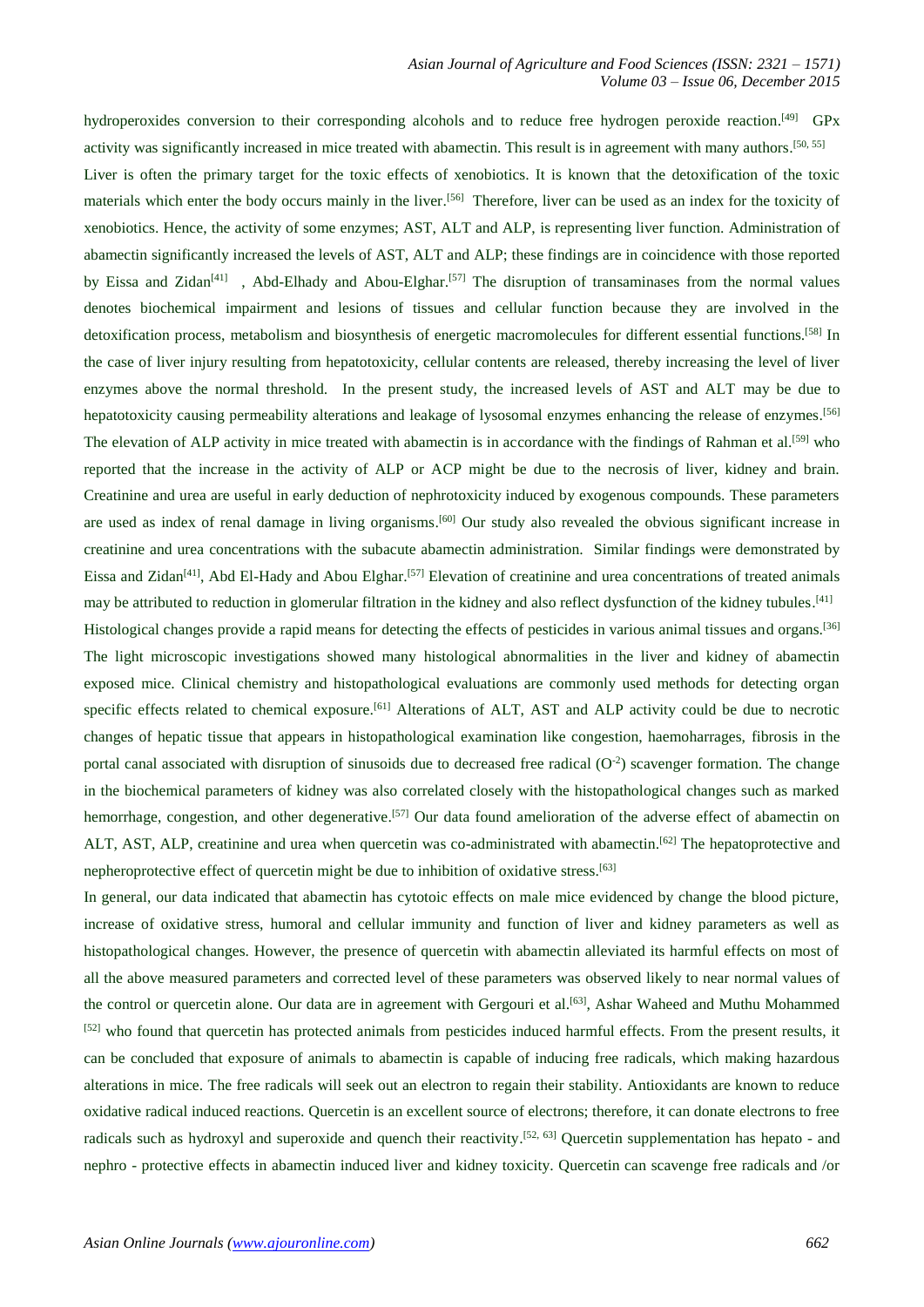hydroperoxides conversion to their corresponding alcohols and to reduce free hydrogen peroxide reaction.<sup>[49]</sup> GPx activity was significantly increased in mice treated with abamectin. This result is in agreement with many authors.<sup>[50, 55]</sup>

Liver is often the primary target for the toxic effects of xenobiotics. It is known that the detoxification of the toxic materials which enter the body occurs mainly in the liver.<sup>[56]</sup> Therefore, liver can be used as an index for the toxicity of xenobiotics. Hence, the activity of some enzymes; AST, ALT and ALP, is representing liver function. Administration of abamectin significantly increased the levels of AST, ALT and ALP; these findings are in coincidence with those reported by Eissa and Zidan<sup>[41]</sup>, Abd-Elhady and Abou-Elghar.<sup>[57]</sup> The disruption of transaminases from the normal values denotes biochemical impairment and lesions of tissues and cellular function because they are involved in the detoxification process, metabolism and biosynthesis of energetic macromolecules for different essential functions. [58] In the case of liver injury resulting from hepatotoxicity, cellular contents are released, thereby increasing the level of liver enzymes above the normal threshold. In the present study, the increased levels of AST and ALT may be due to hepatotoxicity causing permeability alterations and leakage of lysosomal enzymes enhancing the release of enzymes.<sup>[56]</sup> The elevation of ALP activity in mice treated with abamectin is in accordance with the findings of Rahman et al.<sup>[59]</sup> who reported that the increase in the activity of ALP or ACP might be due to the necrosis of liver, kidney and brain. Creatinine and urea are useful in early deduction of nephrotoxicity induced by exogenous compounds. These parameters are used as index of renal damage in living organisms.<sup>[60]</sup> Our study also revealed the obvious significant increase in creatinine and urea concentrations with the subacute abamectin administration. Similar findings were demonstrated by Eissa and Zidan<sup>[41]</sup>, Abd El-Hady and Abou Elghar.<sup>[57]</sup> Elevation of creatinine and urea concentrations of treated animals may be attributed to reduction in glomerular filtration in the kidney and also reflect dysfunction of the kidney tubules.<sup>[41]</sup> Histological changes provide a rapid means for detecting the effects of pesticides in various animal tissues and organs.<sup>[36]</sup> The light microscopic investigations showed many histological abnormalities in the liver and kidney of abamectin exposed mice. Clinical chemistry and histopathological evaluations are commonly used methods for detecting organ specific effects related to chemical exposure.<sup>[61]</sup> Alterations of ALT, AST and ALP activity could be due to necrotic changes of hepatic tissue that appears in histopathological examination like congestion, haemoharrages, fibrosis in the portal canal associated with disruption of sinusoids due to decreased free radical  $(O<sup>2</sup>)$  scavenger formation. The change in the biochemical parameters of kidney was also correlated closely with the histopathological changes such as marked hemorrhage, congestion, and other degenerative.<sup>[57]</sup> Our data found amelioration of the adverse effect of abamectin on ALT, AST, ALP, creatinine and urea when quercetin was co-administrated with abamectin.<sup>[62]</sup> The hepatoprotective and nepheroprotective effect of quercetin might be due to inhibition of oxidative stress. [63]

In general, our data indicated that abamectin has cytotoic effects on male mice evidenced by change the blood picture, increase of oxidative stress, humoral and cellular immunity and function of liver and kidney parameters as well as histopathological changes. However, the presence of quercetin with abamectin alleviated its harmful effects on most of all the above measured parameters and corrected level of these parameters was observed likely to near normal values of the control or quercetin alone. Our data are in agreement with Gergouri et al.<sup>[63]</sup>, Ashar Waheed and Muthu Mohammed [52] who found that quercetin has protected animals from pesticides induced harmful effects. From the present results, it can be concluded that exposure of animals to abamectin is capable of inducing free radicals, which making hazardous alterations in mice. The free radicals will seek out an electron to regain their stability. Antioxidants are known to reduce oxidative radical induced reactions. Quercetin is an excellent source of electrons; therefore, it can donate electrons to free radicals such as hydroxyl and superoxide and quench their reactivity.<sup>[52, 63]</sup> Quercetin supplementation has hepato - and nephro - protective effects in abamectin induced liver and kidney toxicity. Quercetin can scavenge free radicals and /or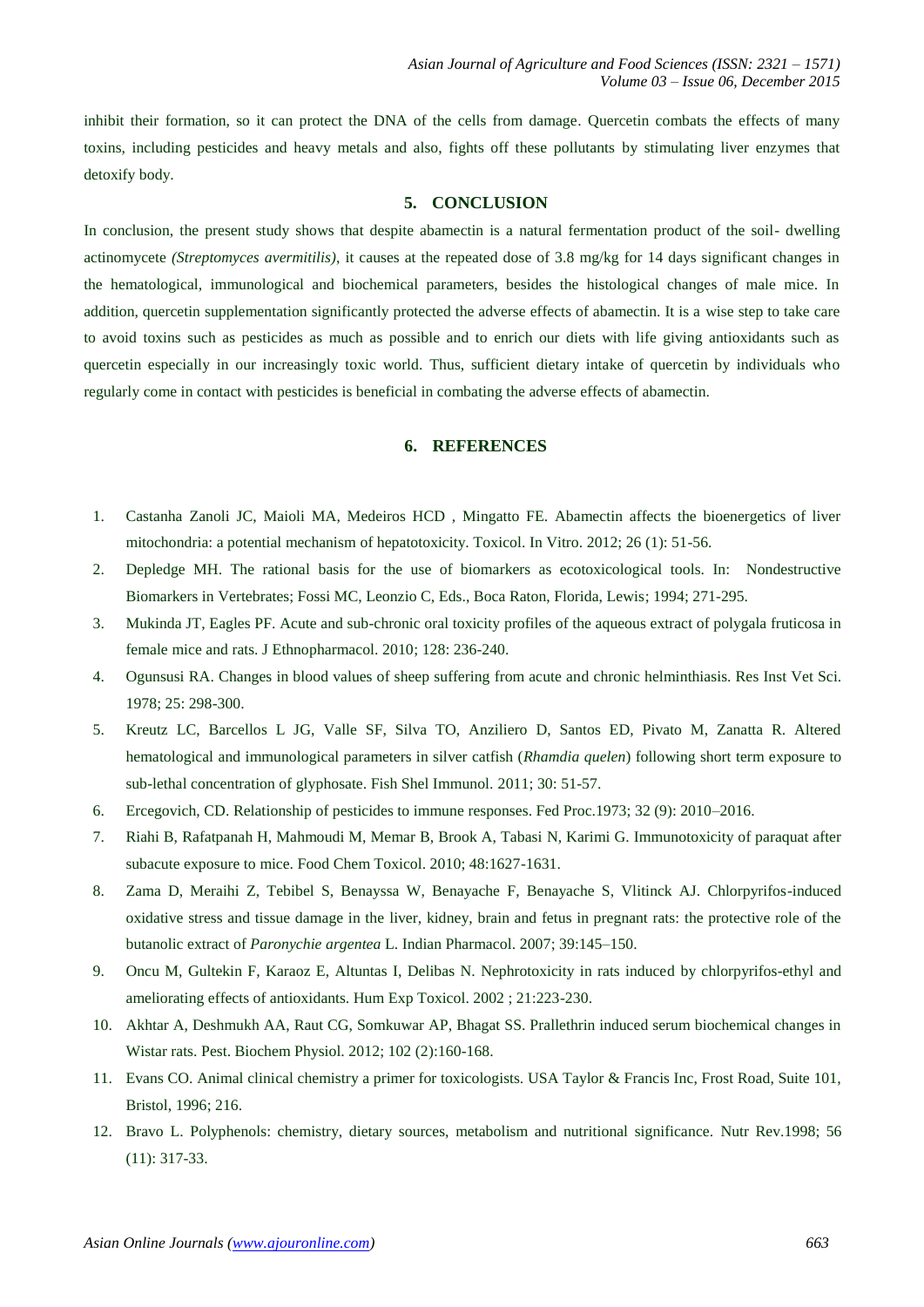inhibit their formation, so it can protect the DNA of the cells from damage. Quercetin combats the effects of many toxins, including pesticides and heavy metals and also, fights off these pollutants by stimulating liver enzymes that detoxify body.

# **5. CONCLUSION**

In conclusion, the present study shows that despite abamectin is a natural fermentation product of the soil- dwelling actinomycete *(Streptomyces avermitilis)*, it causes at the repeated dose of 3.8 mg/kg for 14 days significant changes in the hematological, immunological and biochemical parameters, besides the histological changes of male mice. In addition, quercetin supplementation significantly protected the adverse effects of abamectin. It is a wise step to take care to avoid toxins such as pesticides as much as possible and to enrich our diets with life giving antioxidants such as quercetin especially in our increasingly toxic world. Thus, sufficient dietary intake of quercetin by individuals who regularly come in contact with pesticides is beneficial in combating the adverse effects of abamectin.

## **6. REFERENCES**

- 1. Castanha Zanoli JC, Maioli MA, Medeiros HCD , Mingatto FE. Abamectin affects the bioenergetics of liver mitochondria: a potential mechanism of hepatotoxicity. Toxicol. In Vitro. 2012; 26 (1): 51-56.
- 2. Depledge MH. The rational basis for the use of biomarkers as ecotoxicological tools. In: Nondestructive Biomarkers in Vertebrates; Fossi MC, Leonzio C, Eds., Boca Raton, Florida, Lewis; 1994; 271-295.
- 3. Mukinda JT, Eagles PF. Acute and sub-chronic oral toxicity profiles of the aqueous extract of polygala fruticosa in female mice and rats. J Ethnopharmacol. 2010; 128: 236-240.
- 4. Ogunsusi RA. Changes in blood values of sheep suffering from acute and chronic helminthiasis. Res Inst Vet Sci. 1978; 25: 298-300.
- 5. Kreutz LC, Barcellos L JG, Valle SF, Silva TO, Anziliero D, Santos ED, Pivato M, Zanatta R. Altered hematological and immunological parameters in silver catfish (*Rhamdia quelen*) following short term exposure to sub-lethal concentration of glyphosate. Fish Shel Immunol. 2011; 30: 51-57.
- 6. Ercegovich, CD. Relationship of pesticides to immune responses. Fed Proc.1973; 32 (9): 2010–2016.
- 7. Riahi B, Rafatpanah H, Mahmoudi M, Memar B, Brook A, Tabasi N, Karimi G. Immunotoxicity of paraquat after subacute exposure to mice. Food Chem Toxicol. 2010; 48:1627-1631.
- 8. Zama D, Meraihi Z, Tebibel S, Benayssa W, Benayache F, Benayache S, Vlitinck AJ. Chlorpyrifos-induced oxidative stress and tissue damage in the liver, kidney, brain and fetus in pregnant rats: the protective role of the butanolic extract of *Paronychie argentea* L. Indian Pharmacol. 2007; 39:145–150.
- 9. Oncu M, Gultekin F, Karaoz E, Altuntas I, Delibas N. Nephrotoxicity in rats induced by chlorpyrifos-ethyl and ameliorating effects of antioxidants. Hum Exp Toxicol. 2002 ; 21:223-230.
- 10. Akhtar A, Deshmukh AA, Raut CG, Somkuwar AP, Bhagat SS. Prallethrin induced serum biochemical changes in Wistar rats. Pest. Biochem Physiol. 2012; 102 (2):160-168.
- 11. Evans CO. Animal clinical chemistry a primer for toxicologists. USA Taylor & Francis Inc, Frost Road, Suite 101, Bristol, 1996; 216.
- 12. [Bravo L.](http://www.ncbi.nlm.nih.gov/pubmed/?term=Bravo%20L%5BAuthor%5D&cauthor=true&cauthor_uid=9838798) Polyphenols: chemistry, dietary sources, metabolism and nutritional significance. [Nutr Rev.](http://www.ncbi.nlm.nih.gov/pubmed/9838798)1998; 56 (11): 317-33.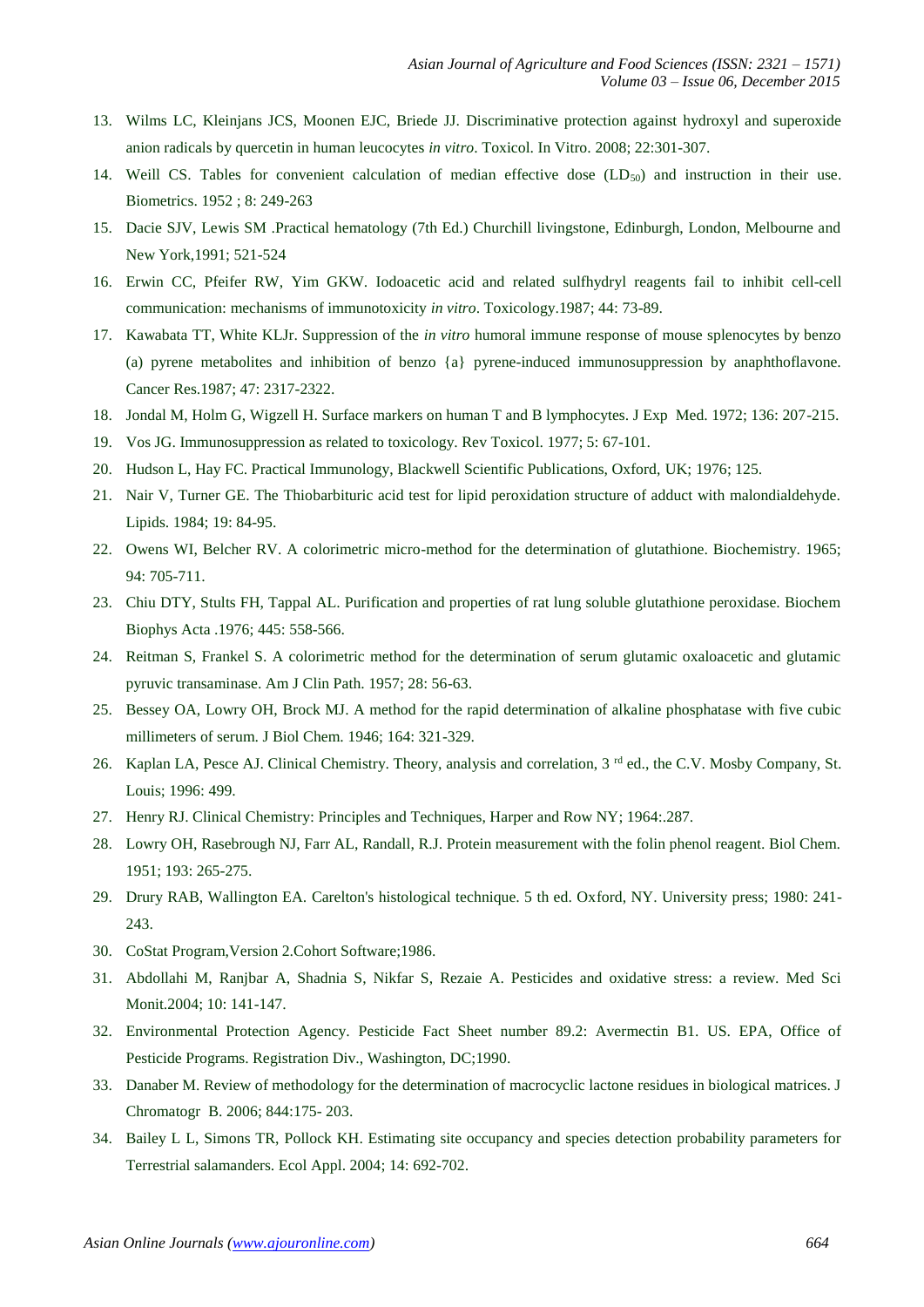- 13. Wilms LC, Kleinjans JCS, Moonen EJC, Briede JJ. Discriminative protection against hydroxyl and superoxide anion radicals by quercetin in human leucocytes *in vitro*. Toxicol. In Vitro. 2008; 22:301-307.
- 14. Weill CS. Tables for convenient calculation of median effective dose  $(LD_{50})$  and instruction in their use. Biometrics. 1952 ; 8: 249-263
- 15. Dacie SJV, Lewis SM .Practical hematology (7th Ed.) Churchill livingstone, Edinburgh, London, Melbourne and New York,1991; 521-524
- 16. Erwin CC, Pfeifer RW, Yim GKW. Iodoacetic acid and related sulfhydryl reagents fail to inhibit cell-cell communication: mechanisms of immunotoxicity *in vitro*. Toxicology.1987; 44: 73-89.
- 17. Kawabata TT, White KLJr. Suppression of the *in vitro* humoral immune response of mouse splenocytes by benzo (a) pyrene metabolites and inhibition of benzo {a} pyrene-induced immunosuppression by anaphthoflavone. Cancer Res.1987; 47: 2317-2322.
- 18. Jondal M, Holm G, Wigzell H. Surface markers on human T and B lymphocytes. J Exp Med. 1972; 136: 207-215.
- 19. Vos JG. Immunosuppression as related to toxicology. Rev Toxicol. 1977; 5: 67-101.
- 20. Hudson L, Hay FC. Practical Immunology, Blackwell Scientific Publications, Oxford, UK; 1976; 125.
- 21. Nair V, Turner GE. The Thiobarbituric acid test for lipid peroxidation structure of adduct with malondialdehyde. Lipids. 1984; 19: 84-95.
- 22. Owens WI, Belcher RV. A colorimetric micro-method for the determination of glutathione. Biochemistry. 1965; 94: 705-711.
- 23. Chiu DTY, Stults FH, Tappal AL. Purification and properties of rat lung soluble glutathione peroxidase. Biochem Biophys Acta .1976; 445: 558-566.
- 24. Reitman S, Frankel S. A colorimetric method for the determination of serum glutamic oxaloacetic and glutamic pyruvic transaminase. Am J Clin Path. 1957; 28: 56-63.
- 25. Bessey OA, Lowry OH, Brock MJ. A method for the rapid determination of alkaline phosphatase with five cubic millimeters of serum. J Biol Chem. 1946; 164: 321-329.
- 26. Kaplan LA, Pesce AJ. Clinical Chemistry. Theory, analysis and correlation, 3<sup>rd</sup> ed., the C.V. Mosby Company, St. Louis; 1996: 499.
- 27. Henry RJ. Clinical Chemistry: Principles and Techniques, Harper and Row NY; 1964:.287.
- 28. Lowry OH, Rasebrough NJ, Farr AL, Randall, R.J. Protein measurement with the folin phenol reagent. Biol Chem. 1951; 193: 265-275.
- 29. Drury RAB, Wallington EA. Carelton's histological technique. 5 th ed. Oxford, NY. University press; 1980: 241- 243.
- 30. CoStat Program,Version 2.Cohort Software;1986.
- 31. Abdollahi M, Ranjbar A, Shadnia S, Nikfar S, Rezaie A. Pesticides and oxidative stress: a review. Med Sci Monit.2004; 10: 141-147.
- 32. Environmental Protection Agency. Pesticide Fact Sheet number 89.2: Avermectin B1. US. EPA, Office of Pesticide Programs. Registration Div., Washington, DC;1990.
- 33. Danaber M. Review of methodology for the determination of macrocyclic lactone residues in biological matrices. J Chromatogr B. 2006; 844:175- 203.
- 34. Bailey L L, Simons TR, Pollock KH. Estimating site occupancy and species detection probability parameters for Terrestrial salamanders. Ecol Appl. 2004; 14: 692-702.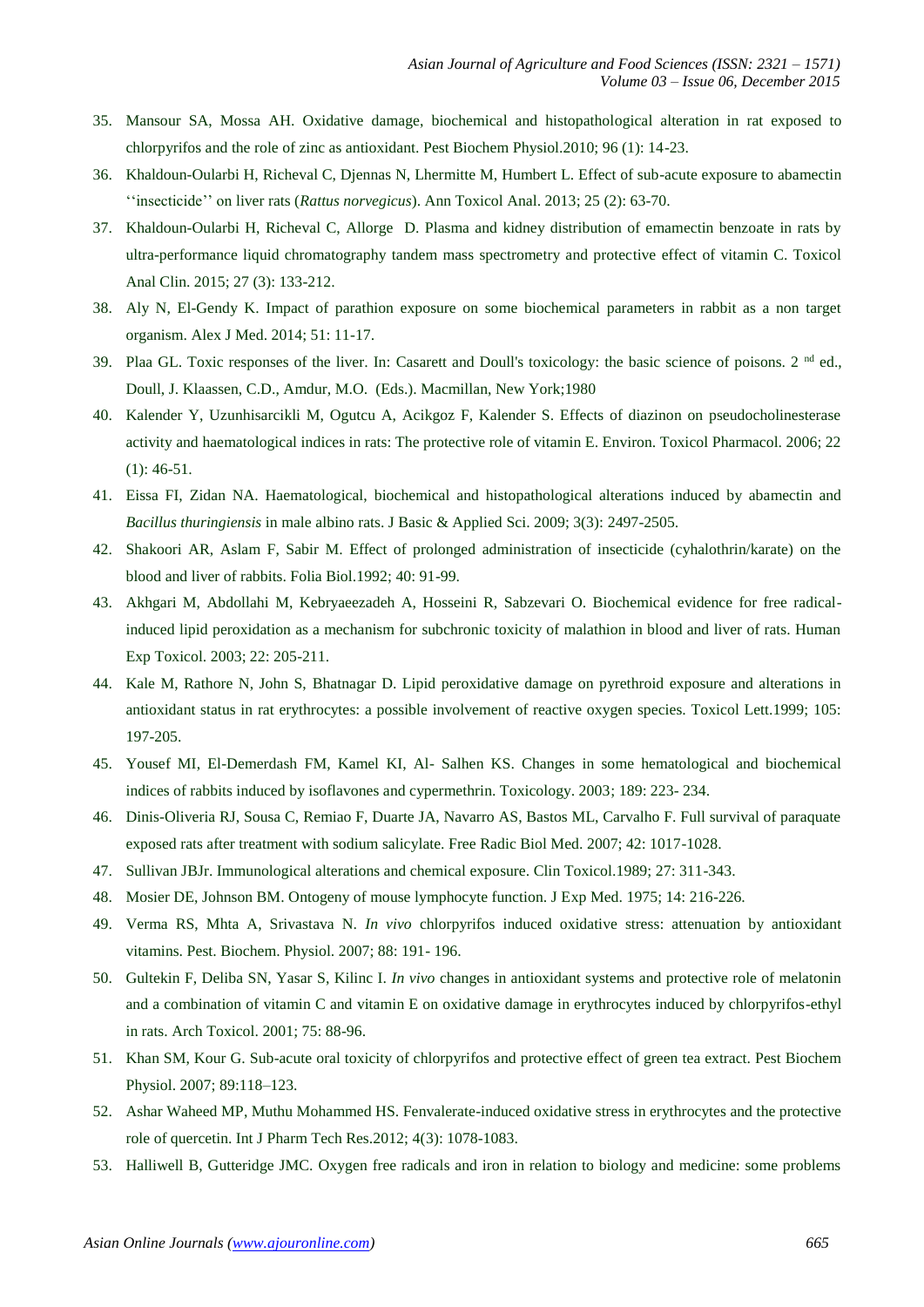- 35. Mansour SA, Mossa AH. Oxidative damage, biochemical and histopathological alteration in rat exposed to chlorpyrifos and the role of zinc as antioxidant. Pest Biochem Physiol.2010; 96 (1): 14-23.
- 36. Khaldoun-Oularbi H, Richeval C, Djennas N, Lhermitte M, Humbert L. Effect of sub-acute exposure to abamectin ''insecticide'' on liver rats (*Rattus norvegicus*). Ann Toxicol Anal. 2013; 25 (2): 63-70.
- 37. Khaldoun-Oularbi H, Richeval C, Allorge D. Plasma and kidney distribution of emamectin benzoate in rats by ultra-performance liquid chromatography tandem mass spectrometry and protective effect of vitamin C. Toxicol Anal Clin. 2015; 27 (3): 133-212.
- 38. Aly N, El-Gendy K. Impact of parathion exposure on some biochemical parameters in rabbit as a non target organism. Alex J Med. 2014; 51: 11-17.
- 39. Plaa GL. Toxic responses of the liver. In: Casarett and Doull's toxicology: the basic science of poisons.  $2<sup>nd</sup>$  ed., Doull, J. Klaassen, C.D., Amdur, M.O. (Eds.). Macmillan, New York;1980
- 40. Kalender Y, Uzunhisarcikli M, Ogutcu A, Acikgoz F, Kalender S. Effects of diazinon on pseudocholinesterase activity and haematological indices in rats: The protective role of vitamin E. Environ. Toxicol Pharmacol. 2006; 22 (1): 46-51.
- 41. Eissa FI, Zidan NA. Haematological, biochemical and histopathological alterations induced by abamectin and *Bacillus thuringiensis* in male albino rats. J Basic & Applied Sci. 2009; 3(3): 2497-2505.
- 42. Shakoori AR, Aslam F, Sabir M. Effect of prolonged administration of insecticide (cyhalothrin/karate) on the blood and liver of rabbits. Folia Biol.1992; 40: 91-99.
- 43. Akhgari M, Abdollahi M, Kebryaeezadeh A, Hosseini R, Sabzevari O. Biochemical evidence for free radicalinduced lipid peroxidation as a mechanism for subchronic toxicity of malathion in blood and liver of rats. Human Exp Toxicol. 2003; 22: 205-211.
- 44. Kale M, Rathore N, John S, Bhatnagar D. Lipid peroxidative damage on pyrethroid exposure and alterations in antioxidant status in rat erythrocytes: a possible involvement of reactive oxygen species. Toxicol Lett.1999; 105: 197-205.
- 45. Yousef MI, El-Demerdash FM, Kamel KI, Al- Salhen KS. Changes in some hematological and biochemical indices of rabbits induced by isoflavones and cypermethrin. Toxicology. 2003; 189: 223- 234.
- 46. Dinis-Oliveria RJ, Sousa C, Remiao F, Duarte JA, Navarro AS, Bastos ML, Carvalho F. Full survival of paraquate exposed rats after treatment with sodium salicylate. Free Radic Biol Med. 2007; 42: 1017-1028.
- 47. Sullivan JBJr. Immunological alterations and chemical exposure. Clin Toxicol.1989; 27: 311-343.
- 48. Mosier DE, Johnson BM. Ontogeny of mouse lymphocyte function. J Exp Med. 1975; 14: 216-226.
- 49. Verma RS, Mhta A, Srivastava N. *In vivo* chlorpyrifos induced oxidative stress: attenuation by antioxidant vitamins. Pest. Biochem. Physiol. 2007; 88: 191- 196.
- 50. Gultekin F, Deliba SN, Yasar S, Kilinc I. *In vivo* changes in antioxidant systems and protective role of melatonin and a combination of vitamin C and vitamin E on oxidative damage in erythrocytes induced by chlorpyrifos-ethyl in rats. Arch Toxicol. 2001; 75: 88-96.
- 51. Khan SM, Kour G. Sub-acute oral toxicity of chlorpyrifos and protective effect of green tea extract. Pest Biochem Physiol. 2007; 89:118–123.
- 52. Ashar Waheed MP, Muthu Mohammed HS. Fenvalerate-induced oxidative stress in erythrocytes and the protective role of quercetin. Int J Pharm Tech Res.2012; 4(3): 1078-1083.
- 53. Halliwell B, Gutteridge JMC. Oxygen free radicals and iron in relation to biology and medicine: some problems